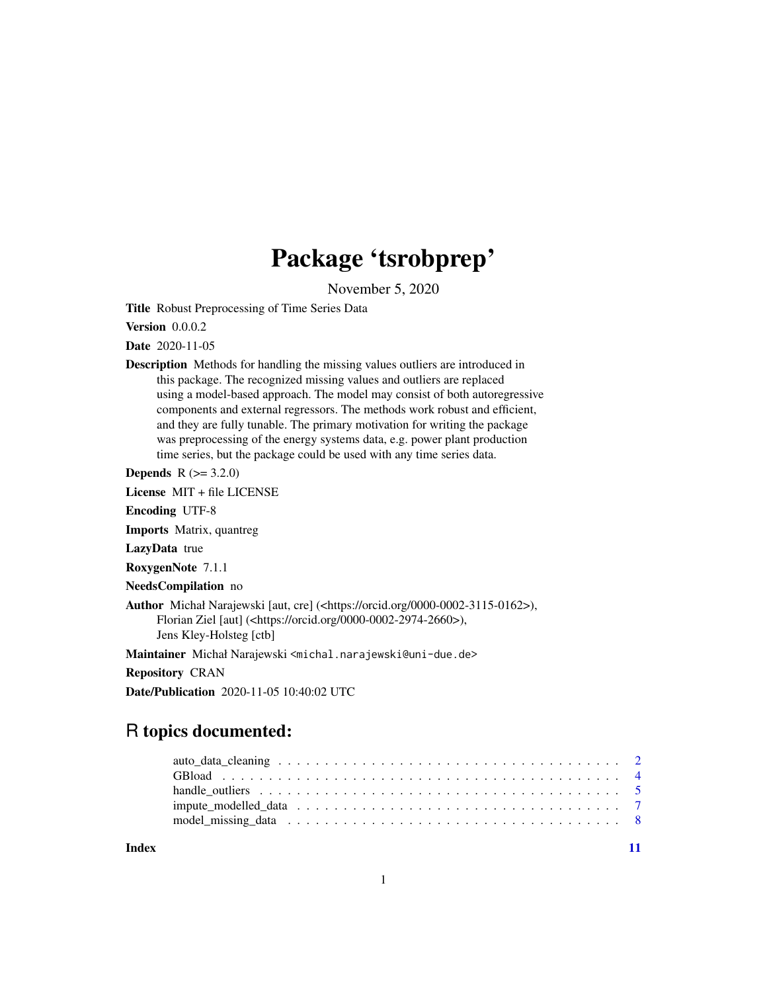## Package 'tsrobprep'

November 5, 2020

<span id="page-0-0"></span>Title Robust Preprocessing of Time Series Data

Version 0.0.0.2

Date 2020-11-05

Description Methods for handling the missing values outliers are introduced in this package. The recognized missing values and outliers are replaced using a model-based approach. The model may consist of both autoregressive components and external regressors. The methods work robust and efficient, and they are fully tunable. The primary motivation for writing the package was preprocessing of the energy systems data, e.g. power plant production time series, but the package could be used with any time series data.

**Depends**  $R (= 3.2.0)$ 

License MIT + file LICENSE

Encoding UTF-8

Imports Matrix, quantreg

LazyData true

RoxygenNote 7.1.1

NeedsCompilation no

Author Michał Narajewski [aut, cre] (<https://orcid.org/0000-0002-3115-0162>), Florian Ziel [aut] (<https://orcid.org/0000-0002-2974-2660>), Jens Kley-Holsteg [ctb]

Maintainer Michał Narajewski <michal.narajewski@uni-due.de>

Repository CRAN

Date/Publication 2020-11-05 10:40:02 UTC

### R topics documented:

**Index** [11](#page-10-0)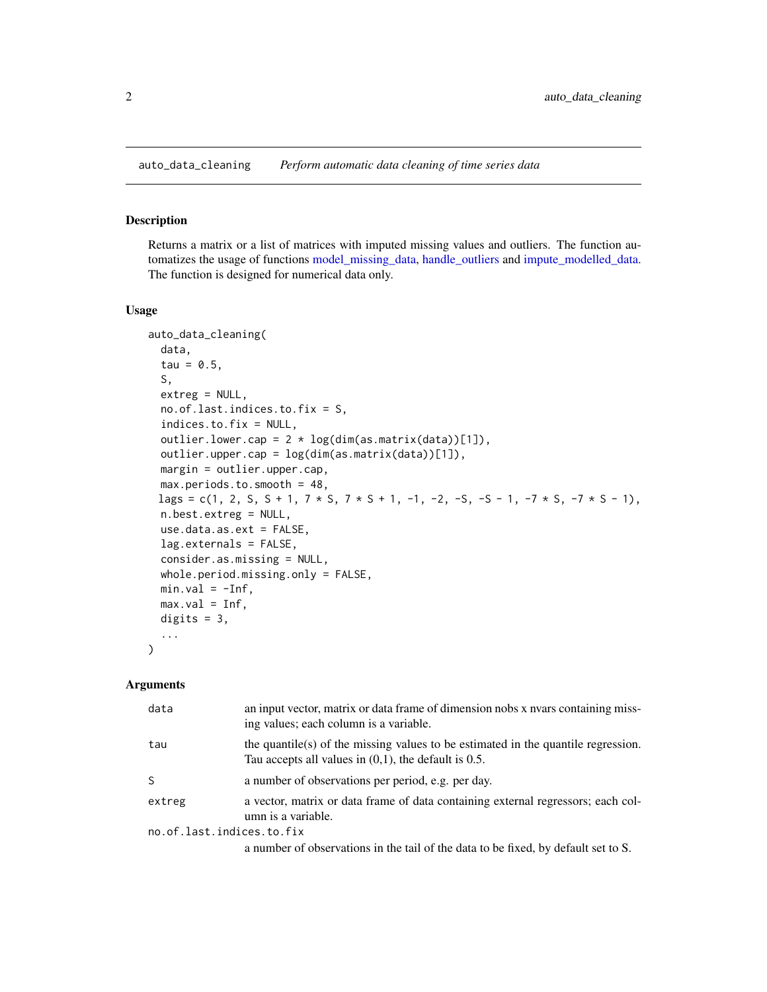<span id="page-1-1"></span><span id="page-1-0"></span>auto\_data\_cleaning *Perform automatic data cleaning of time series data*

#### Description

Returns a matrix or a list of matrices with imputed missing values and outliers. The function automatizes the usage of functions [model\\_missing\\_data,](#page-7-1) [handle\\_outliers](#page-4-1) and [impute\\_modelled\\_data.](#page-6-1) The function is designed for numerical data only.

#### Usage

```
auto_data_cleaning(
  data,
  tau = 0.5,
  S,
 extreg = NULL,
 no.of.last.indices.to.fix = S,
  indices.to.fix = NULL,
 outlier.lower.cap = 2 * log(dim(as.matrix(data))[1]),outlier.upper.cap = log(dim(as.matrix(data))[1]),
 margin = outlier.upper.cap,
 max.periods.to.smooth = 48,
 lags = c(1, 2, S, S + 1, 7 * S, 7 * S + 1, -1, -2, -S, -S - 1, -7 * S, -7 * S - 1),
 n.best.extreg = NULL,
  use.data.as.ext = FALSE,
  lag.externals = FALSE,
  consider.as.missing = NULL,
 whole.period.missing.only = FALSE,
 min.val = -Inf,max.val = Inf,digits = 3,
  ...
)
```
#### Arguments

| data                      | an input vector, matrix or data frame of dimension nobs x nyars containing miss-<br>ing values; each column is a variable.                   |  |
|---------------------------|----------------------------------------------------------------------------------------------------------------------------------------------|--|
| tau                       | the quantile(s) of the missing values to be estimated in the quantile regression.<br>Tau accepts all values in $(0,1)$ , the default is 0.5. |  |
| S                         | a number of observations per period, e.g. per day.                                                                                           |  |
| extreg                    | a vector, matrix or data frame of data containing external regressors; each col-<br>umn is a variable.                                       |  |
| no.of.last.indices.to.fix |                                                                                                                                              |  |
|                           | a number of observations in the tail of the data to be fixed, by default set to S.                                                           |  |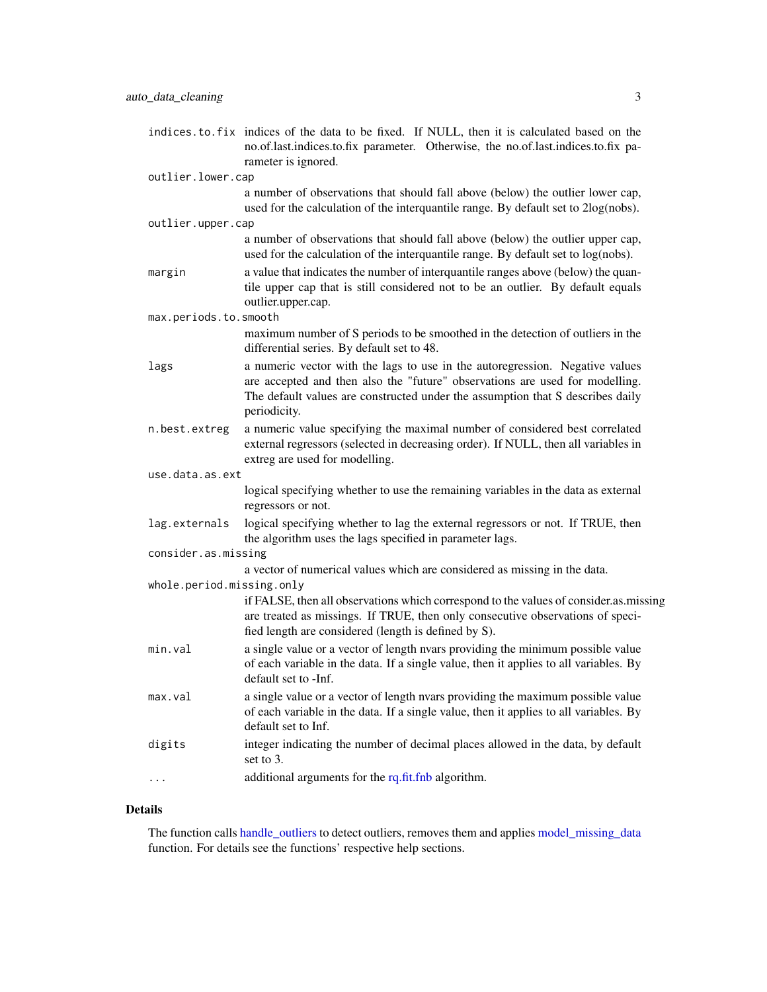<span id="page-2-0"></span>indices.to.fix indices of the data to be fixed. If NULL, then it is calculated based on the no.of.last.indices.to.fix parameter. Otherwise, the no.of.last.indices.to.fix parameter is ignored.

#### outlier.lower.cap

a number of observations that should fall above (below) the outlier lower cap, used for the calculation of the interquantile range. By default set to 2log(nobs). outlier.upper.cap

- a number of observations that should fall above (below) the outlier upper cap, used for the calculation of the interquantile range. By default set to log(nobs).
- margin a value that indicates the number of interquantile ranges above (below) the quantile upper cap that is still considered not to be an outlier. By default equals outlier.upper.cap.

max.periods.to.smooth

maximum number of S periods to be smoothed in the detection of outliers in the differential series. By default set to 48.

- lags a numeric vector with the lags to use in the autoregression. Negative values are accepted and then also the "future" observations are used for modelling. The default values are constructed under the assumption that S describes daily periodicity.
- n.best.extreg a numeric value specifying the maximal number of considered best correlated external regressors (selected in decreasing order). If NULL, then all variables in extreg are used for modelling.

use.data.as.ext

logical specifying whether to use the remaining variables in the data as external regressors or not.

lag.externals logical specifying whether to lag the external regressors or not. If TRUE, then the algorithm uses the lags specified in parameter lags.

consider.as.missing

a vector of numerical values which are considered as missing in the data.

whole.period.missing.only

if FALSE, then all observations which correspond to the values of consider.as.missing are treated as missings. If TRUE, then only consecutive observations of specified length are considered (length is defined by S).

- min.val a single value or a vector of length nvars providing the minimum possible value of each variable in the data. If a single value, then it applies to all variables. By default set to -Inf.
- max.val a single value or a vector of length nvars providing the maximum possible value of each variable in the data. If a single value, then it applies to all variables. By default set to Inf.
- digits integer indicating the number of decimal places allowed in the data, by default set to 3.
- ... additional arguments for the [rq.fit.fnb](#page-0-0) algorithm.

#### Details

The function calls [handle\\_outliers](#page-4-1) to detect outliers, removes them and applies [model\\_missing\\_data](#page-7-1) function. For details see the functions' respective help sections.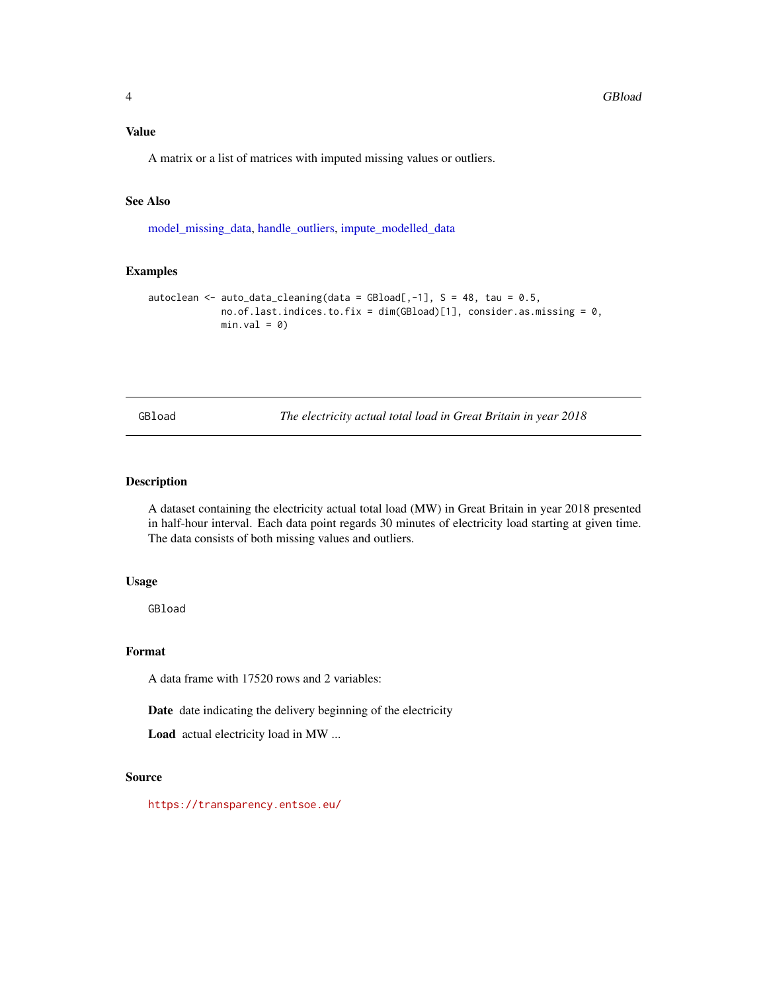#### <span id="page-3-0"></span>Value

A matrix or a list of matrices with imputed missing values or outliers.

#### See Also

[model\\_missing\\_data,](#page-7-1) [handle\\_outliers,](#page-4-1) [impute\\_modelled\\_data](#page-6-1)

#### Examples

```
autoclean \le auto_data_cleaning(data = GBload[,-1], S = 48, tau = 0.5,
             no. of. last. indices. to. fix = dim(GBload)[1], consider. as. missing = 0,min.val = 0)
```
GBload *The electricity actual total load in Great Britain in year 2018*

#### Description

A dataset containing the electricity actual total load (MW) in Great Britain in year 2018 presented in half-hour interval. Each data point regards 30 minutes of electricity load starting at given time. The data consists of both missing values and outliers.

#### Usage

GBload

#### Format

A data frame with 17520 rows and 2 variables:

Date date indicating the delivery beginning of the electricity

Load actual electricity load in MW ...

#### Source

<https://transparency.entsoe.eu/>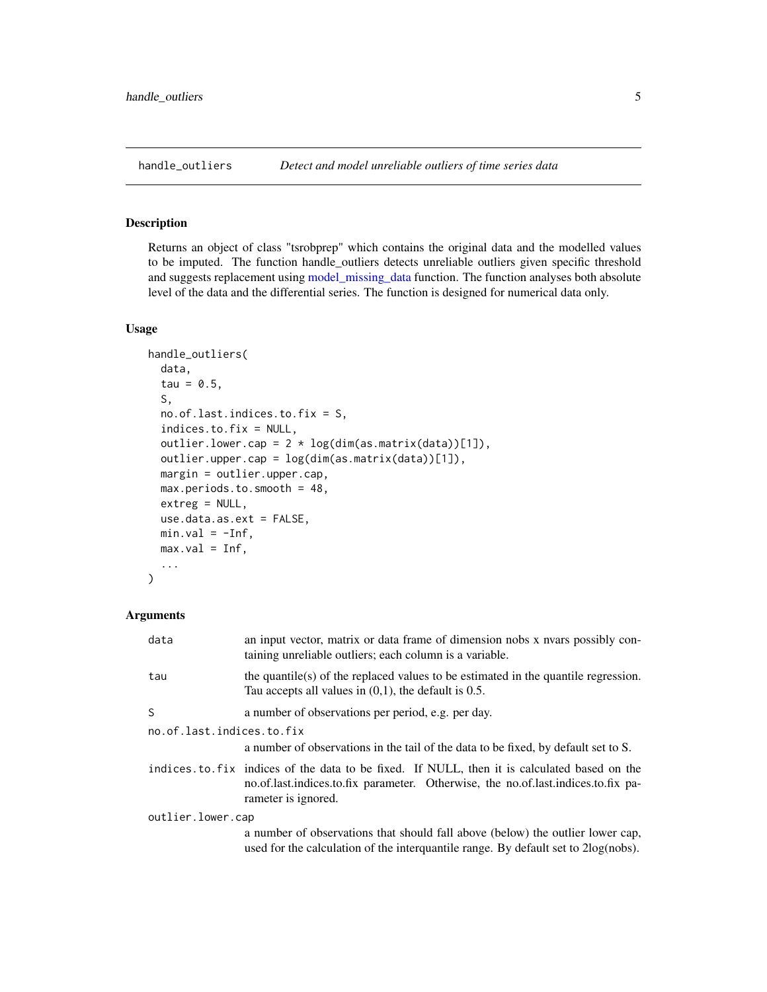#### <span id="page-4-1"></span><span id="page-4-0"></span>Description

Returns an object of class "tsrobprep" which contains the original data and the modelled values to be imputed. The function handle\_outliers detects unreliable outliers given specific threshold and suggests replacement using [model\\_missing\\_data](#page-7-1) function. The function analyses both absolute level of the data and the differential series. The function is designed for numerical data only.

#### Usage

```
handle_outliers(
  data,
  tau = 0.5,
  S,
  no.of.last.indices.to.fix = S,
  indices.to.fix = NULL,
  outlier.lower.cap = 2 * log(dim(as.matrix(data))[1]),outlier.upper.cap = log(dim(as.matrix(data))[1]),
  margin = outlier.upper.cap,
  max.periods.to.smooth = 48,
  extreg = NULL,
  use.data.as.ext = FALSE,
 min.val = -Inf,max.val = Inf,...
)
```
#### Arguments

| data                      | an input vector, matrix or data frame of dimension nobs x nvars possibly con-<br>taining unreliable outliers; each column is a variable.                                                                |
|---------------------------|---------------------------------------------------------------------------------------------------------------------------------------------------------------------------------------------------------|
| tau                       | the quantile(s) of the replaced values to be estimated in the quantile regression.<br>Tau accepts all values in $(0,1)$ , the default is 0.5.                                                           |
| S.                        | a number of observations per period, e.g. per day.                                                                                                                                                      |
| no.of.last.indices.to.fix |                                                                                                                                                                                                         |
|                           | a number of observations in the tail of the data to be fixed, by default set to S.                                                                                                                      |
|                           | indices to fix indices of the data to be fixed. If NULL, then it is calculated based on the<br>no.of.last.indices.to.fix parameter. Otherwise, the no.of.last.indices.to.fix pa-<br>rameter is ignored. |
| outlier.lower.cap         |                                                                                                                                                                                                         |
|                           | a number of observations that should fall above (below) the outlier lower cap,<br>used for the calculation of the interquantile range. By default set to $2\log(\mathrm{nobs})$ .                       |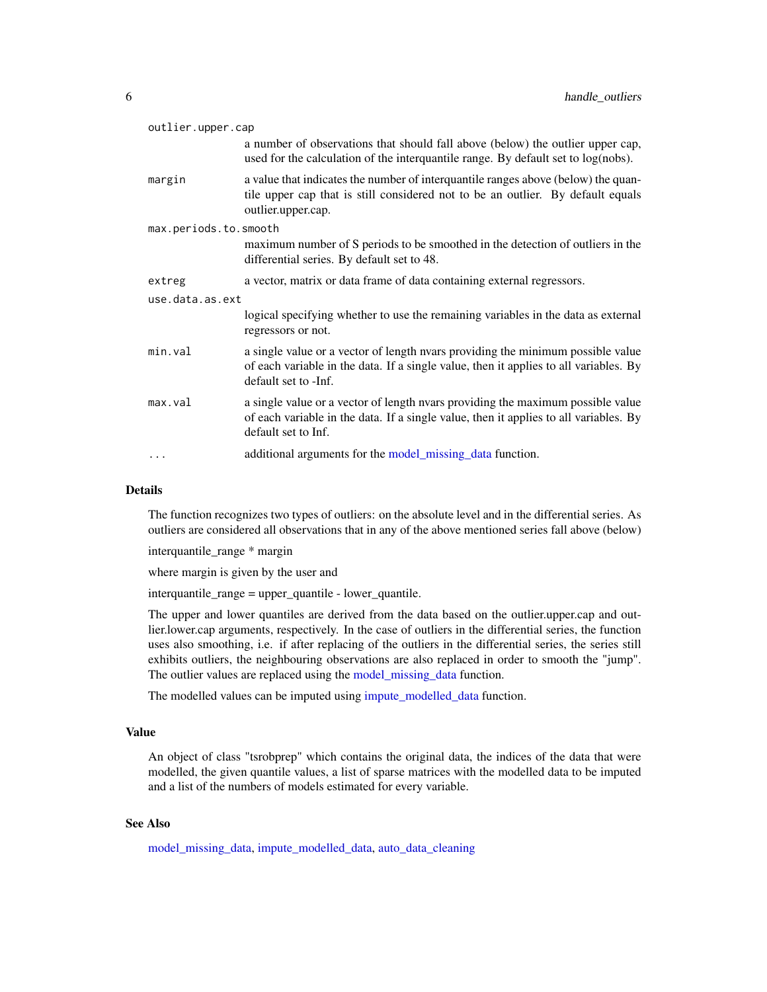<span id="page-5-0"></span>

| outlier.upper.cap                                                                                                                                                                                |  |  |
|--------------------------------------------------------------------------------------------------------------------------------------------------------------------------------------------------|--|--|
| a number of observations that should fall above (below) the outlier upper cap,<br>used for the calculation of the interquantile range. By default set to log(nobs).                              |  |  |
| a value that indicates the number of interquantile ranges above (below) the quan-<br>tile upper cap that is still considered not to be an outlier. By default equals<br>outlier.upper.cap.       |  |  |
| max.periods.to.smooth                                                                                                                                                                            |  |  |
| maximum number of S periods to be smoothed in the detection of outliers in the<br>differential series. By default set to 48.                                                                     |  |  |
| a vector, matrix or data frame of data containing external regressors.                                                                                                                           |  |  |
| use.data.as.ext                                                                                                                                                                                  |  |  |
| logical specifying whether to use the remaining variables in the data as external<br>regressors or not.                                                                                          |  |  |
| a single value or a vector of length nyars providing the minimum possible value<br>of each variable in the data. If a single value, then it applies to all variables. By<br>default set to -Inf. |  |  |
| a single value or a vector of length nvars providing the maximum possible value<br>of each variable in the data. If a single value, then it applies to all variables. By<br>default set to Inf.  |  |  |
| additional arguments for the model_missing_data function.                                                                                                                                        |  |  |
|                                                                                                                                                                                                  |  |  |

#### Details

The function recognizes two types of outliers: on the absolute level and in the differential series. As outliers are considered all observations that in any of the above mentioned series fall above (below)

interquantile\_range \* margin

where margin is given by the user and

interquantile\_range = upper\_quantile - lower\_quantile.

The upper and lower quantiles are derived from the data based on the outlier.upper.cap and outlier.lower.cap arguments, respectively. In the case of outliers in the differential series, the function uses also smoothing, i.e. if after replacing of the outliers in the differential series, the series still exhibits outliers, the neighbouring observations are also replaced in order to smooth the "jump". The outlier values are replaced using the [model\\_missing\\_data](#page-7-1) function.

The modelled values can be imputed using [impute\\_modelled\\_data](#page-6-1) function.

#### Value

An object of class "tsrobprep" which contains the original data, the indices of the data that were modelled, the given quantile values, a list of sparse matrices with the modelled data to be imputed and a list of the numbers of models estimated for every variable.

#### See Also

[model\\_missing\\_data,](#page-7-1) [impute\\_modelled\\_data,](#page-6-1) [auto\\_data\\_cleaning](#page-1-1)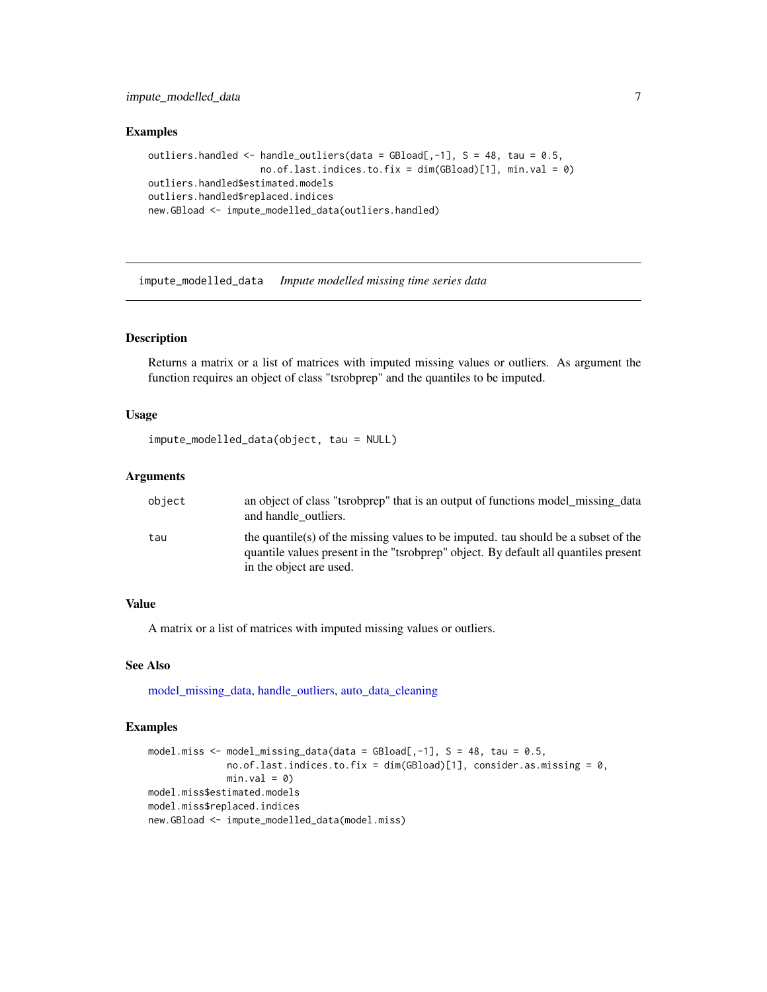#### <span id="page-6-0"></span>impute\_modelled\_data 7

#### Examples

```
outliers.handled \leq- handle_outliers(data = GBload[,-1], S = 48, tau = 0.5,
                    no.of.last.indices.to.fix = dim(GBload)[1], min.val = 0)
outliers.handled$estimated.models
outliers.handled$replaced.indices
new.GBload <- impute_modelled_data(outliers.handled)
```
<span id="page-6-1"></span>impute\_modelled\_data *Impute modelled missing time series data*

#### Description

Returns a matrix or a list of matrices with imputed missing values or outliers. As argument the function requires an object of class "tsrobprep" and the quantiles to be imputed.

#### Usage

```
impute_modelled_data(object, tau = NULL)
```
#### Arguments

| object | an object of class "tsrobprep" that is an output of functions model_missing_data<br>and handle outliers.                                                                  |
|--------|---------------------------------------------------------------------------------------------------------------------------------------------------------------------------|
| tau    | the quantile(s) of the missing values to be imputed, tau should be a subset of the<br>quantile values present in the "tsrobprep" object. By default all quantiles present |
|        | in the object are used.                                                                                                                                                   |

#### Value

A matrix or a list of matrices with imputed missing values or outliers.

#### See Also

model missing data, handle outliers, auto data cleaning

#### Examples

```
model.miss \leq model_missing_data(data = GBload[,-1], S = 48, tau = 0.5,
             no.of.last.indices.to.fix = dim(GBload)[1], consider.as.missing = 0,
             min.val = 0)model.miss$estimated.models
model.miss$replaced.indices
new.GBload <- impute_modelled_data(model.miss)
```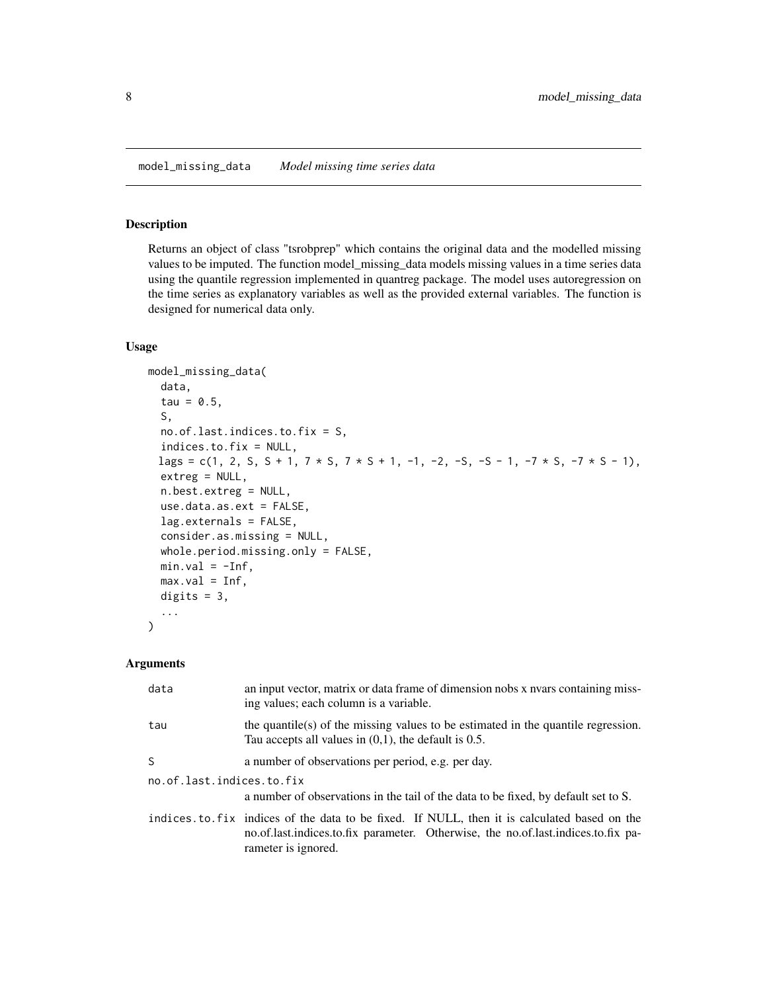#### <span id="page-7-1"></span><span id="page-7-0"></span>Description

Returns an object of class "tsrobprep" which contains the original data and the modelled missing values to be imputed. The function model\_missing\_data models missing values in a time series data using the quantile regression implemented in quantreg package. The model uses autoregression on the time series as explanatory variables as well as the provided external variables. The function is designed for numerical data only.

#### Usage

```
model_missing_data(
  data,
  tau = 0.5,
  S,
  no.of.last.indices.to.fix = S,
  indices.to.fix = NULL,
 lags = c(1, 2, S, S + 1, 7 * S, 7 * S + 1, -1, -2, -5, -S - 1, -7 * S, -7 * S - 1),
  extreg = NULL,
  n.best.extreg = NULL,
  use.data.as.ext = FALSE,
  lag.externals = FALSE,
  consider.as.missing = NULL,
  whole.period.missing.only = FALSE,
  min.val = -Inf,max.val = Inf,digits = 3,
  ...
)
```
#### Arguments

| data                      | an input vector, matrix or data frame of dimension nobs x nears containing miss-<br>ing values; each column is a variable.                                                                              |  |
|---------------------------|---------------------------------------------------------------------------------------------------------------------------------------------------------------------------------------------------------|--|
| tau                       | the quantile(s) of the missing values to be estimated in the quantile regression.<br>Tau accepts all values in $(0,1)$ , the default is 0.5.                                                            |  |
| S                         | a number of observations per period, e.g. per day.                                                                                                                                                      |  |
| no.of.last.indices.to.fix |                                                                                                                                                                                                         |  |
|                           | a number of observations in the tail of the data to be fixed, by default set to S.                                                                                                                      |  |
|                           | indices to fix indices of the data to be fixed. If NULL, then it is calculated based on the<br>no.of.last.indices.to.fix parameter. Otherwise, the no.of.last.indices.to.fix pa-<br>rameter is ignored. |  |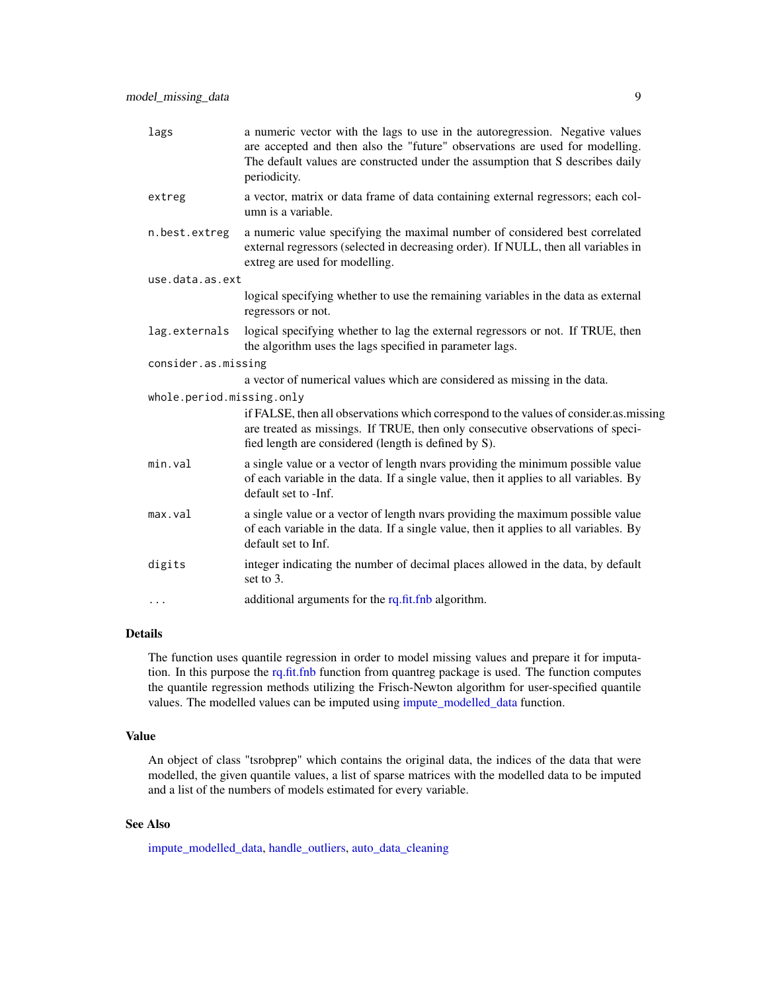<span id="page-8-0"></span>

| lags                      | a numeric vector with the lags to use in the autoregression. Negative values<br>are accepted and then also the "future" observations are used for modelling.<br>The default values are constructed under the assumption that S describes daily<br>periodicity. |
|---------------------------|----------------------------------------------------------------------------------------------------------------------------------------------------------------------------------------------------------------------------------------------------------------|
| extreg                    | a vector, matrix or data frame of data containing external regressors; each col-<br>umn is a variable.                                                                                                                                                         |
| n.best.extreg             | a numeric value specifying the maximal number of considered best correlated<br>external regressors (selected in decreasing order). If NULL, then all variables in<br>extreg are used for modelling.                                                            |
| use.data.as.ext           |                                                                                                                                                                                                                                                                |
|                           | logical specifying whether to use the remaining variables in the data as external<br>regressors or not.                                                                                                                                                        |
| lag.externals             | logical specifying whether to lag the external regressors or not. If TRUE, then<br>the algorithm uses the lags specified in parameter lags.                                                                                                                    |
| consider.as.missing       |                                                                                                                                                                                                                                                                |
|                           | a vector of numerical values which are considered as missing in the data.                                                                                                                                                                                      |
| whole.period.missing.only |                                                                                                                                                                                                                                                                |
|                           | if FALSE, then all observations which correspond to the values of consider.as.missing<br>are treated as missings. If TRUE, then only consecutive observations of speci-<br>fied length are considered (length is defined by S).                                |
| min.val                   | a single value or a vector of length nvars providing the minimum possible value<br>of each variable in the data. If a single value, then it applies to all variables. By<br>default set to -Inf.                                                               |
| max.val                   | a single value or a vector of length nyars providing the maximum possible value<br>of each variable in the data. If a single value, then it applies to all variables. By<br>default set to Inf.                                                                |
| digits                    | integer indicating the number of decimal places allowed in the data, by default<br>set to 3.                                                                                                                                                                   |
| $\cdots$                  | additional arguments for the rq.fit.fnb algorithm.                                                                                                                                                                                                             |
|                           |                                                                                                                                                                                                                                                                |

#### Details

The function uses quantile regression in order to model missing values and prepare it for imputation. In this purpose the [rq.fit.fnb](#page-0-0) function from quantreg package is used. The function computes the quantile regression methods utilizing the Frisch-Newton algorithm for user-specified quantile values. The modelled values can be imputed using [impute\\_modelled\\_data](#page-6-1) function.

#### Value

An object of class "tsrobprep" which contains the original data, the indices of the data that were modelled, the given quantile values, a list of sparse matrices with the modelled data to be imputed and a list of the numbers of models estimated for every variable.

#### See Also

[impute\\_modelled\\_data,](#page-6-1) [handle\\_outliers,](#page-4-1) [auto\\_data\\_cleaning](#page-1-1)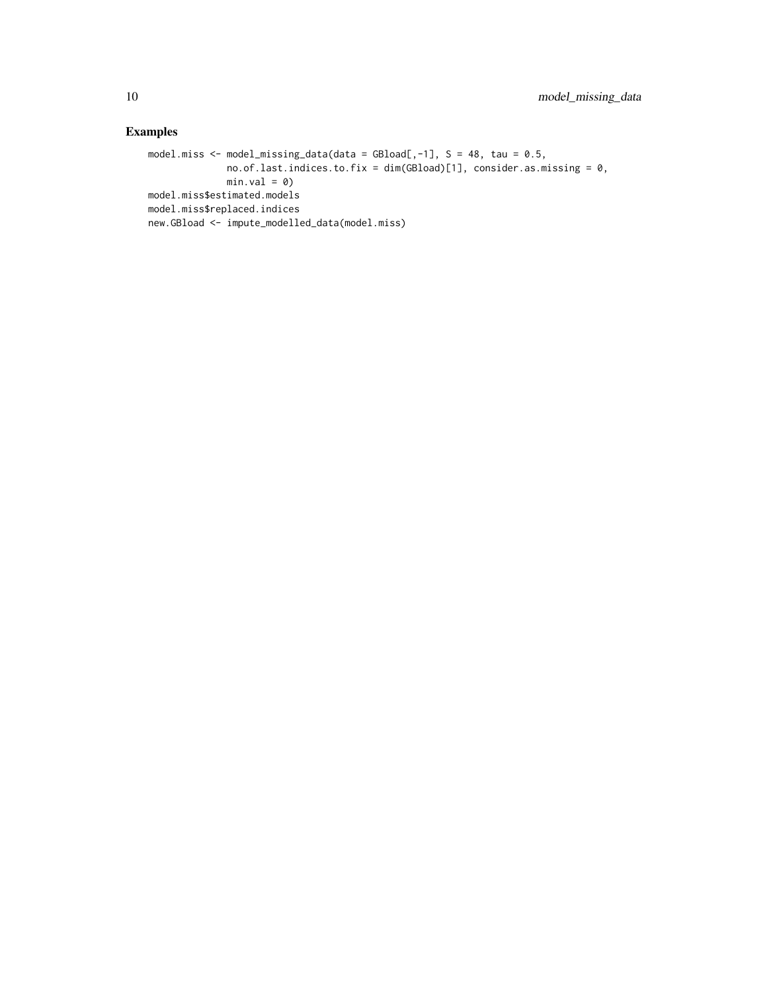#### Examples

```
model.miss \leq model_missing_data(data = GBload[,-1], S = 48, tau = 0.5,
              no.of.last.indices.to.fix = dim(GBload)[1], consider.as.missing = 0,
             min.val = 0)model.miss$estimated.models
model.miss$replaced.indices
new.GBload <- impute_modelled_data(model.miss)
```